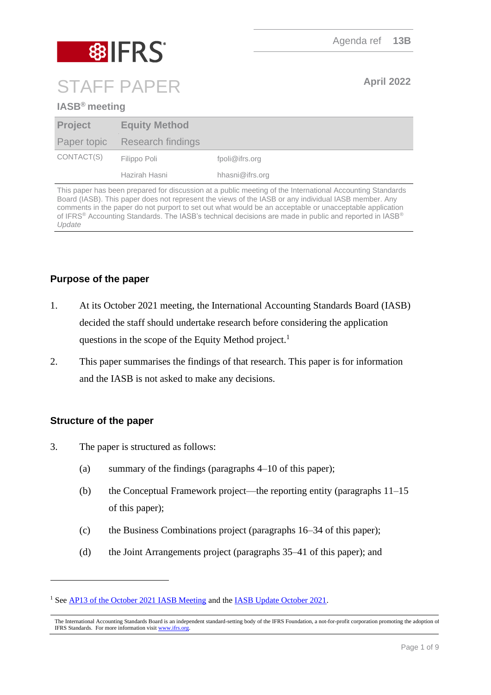# **8 IFRS** STAFF PAPER **April 2022**

# **IASB® meeting**

| <b>Project</b> | <b>Equity Method</b>          |                 |
|----------------|-------------------------------|-----------------|
|                | Paper topic Research findings |                 |
| CONTACT(S)     | Filippo Poli                  | fpoli@ifrs.org  |
|                | Hazirah Hasni                 | hhasni@ifrs.org |

This paper has been prepared for discussion at a public meeting of the International Accounting Standards Board (IASB). This paper does not represent the views of the IASB or any individual IASB member. Any comments in the paper do not purport to set out what would be an acceptable or unacceptable application of IFRS® Accounting Standards. The IASB's technical decisions are made in public and reported in IASB® *Update*

# **Purpose of the paper**

- 1. At its October 2021 meeting, the International Accounting Standards Board (IASB) decided the staff should undertake research before considering the application questions in the scope of the Equity Method project.<sup>1</sup>
- 2. This paper summarises the findings of that research. This paper is for information and the IASB is not asked to make any decisions.

### **Structure of the paper**

- 3. The paper is structured as follows:
	- (a) summary of the findings (paragraphs [4](#page-1-0)[–10](#page-2-0) of this paper);
	- (b) the Conceptual Framework project—the reporting entity (paragraphs [11–](#page-2-1)[15](#page-3-0) of this paper);
	- (c) the Business Combinations project (paragraphs [16](#page-4-0)[–34](#page-7-0) of this paper);
	- (d) the Joint Arrangements project (paragraphs [35–](#page-7-1)[41](#page-8-0) of this paper); and

<sup>&</sup>lt;sup>1</sup> Se[e AP13 of the October 2021 IASB Meeting](https://www.ifrs.org/content/dam/ifrs/meetings/2021/october/iasb/ap13-equity-method.pdf) and th[e IASB Update October 2021.](https://www.ifrs.org/news-and-events/updates/iasb/2021/iasb-update-october-2021/#4)

The International Accounting Standards Board is an independent standard-setting body of the IFRS Foundation, a not-for-profit corporation promoting the adoption of IFRS Standards. For more information visit [www.ifrs.org.](http://www.ifrs.org/)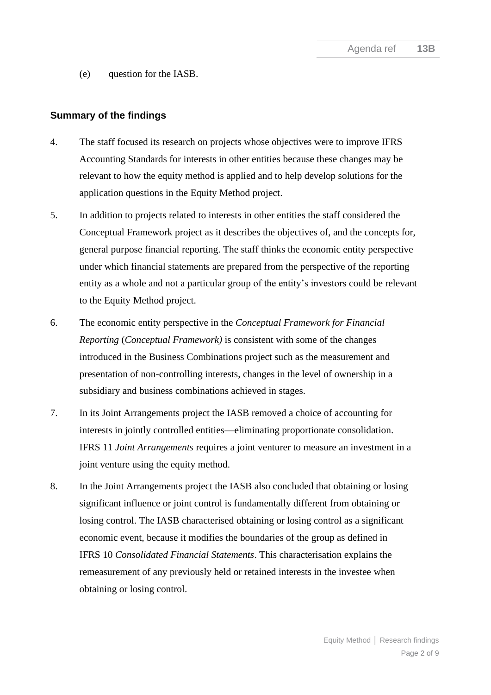(e) question for the IASB.

#### **Summary of the findings**

- <span id="page-1-0"></span>4. The staff focused its research on projects whose objectives were to improve IFRS Accounting Standards for interests in other entities because these changes may be relevant to how the equity method is applied and to help develop solutions for the application questions in the Equity Method project.
- 5. In addition to projects related to interests in other entities the staff considered the Conceptual Framework project as it describes the objectives of, and the concepts for, general purpose financial reporting. The staff thinks the economic entity perspective under which financial statements are prepared from the perspective of the reporting entity as a whole and not a particular group of the entity's investors could be relevant to the Equity Method project.
- 6. The economic entity perspective in the *Conceptual Framework for Financial Reporting* (*Conceptual Framework)* is consistent with some of the changes introduced in the Business Combinations project such as the measurement and presentation of non-controlling interests, changes in the level of ownership in a subsidiary and business combinations achieved in stages.
- 7. In its Joint Arrangements project the IASB removed a choice of accounting for interests in jointly controlled entities—eliminating proportionate consolidation. IFRS 11 *Joint Arrangements* requires a joint venturer to measure an investment in a joint venture using the equity method.
- 8. In the Joint Arrangements project the IASB also concluded that obtaining or losing significant influence or joint control is fundamentally different from obtaining or losing control. The IASB characterised obtaining or losing control as a significant economic event, because it modifies the boundaries of the group as defined in IFRS 10 *Consolidated Financial Statements*. This characterisation explains the remeasurement of any previously held or retained interests in the investee when obtaining or losing control.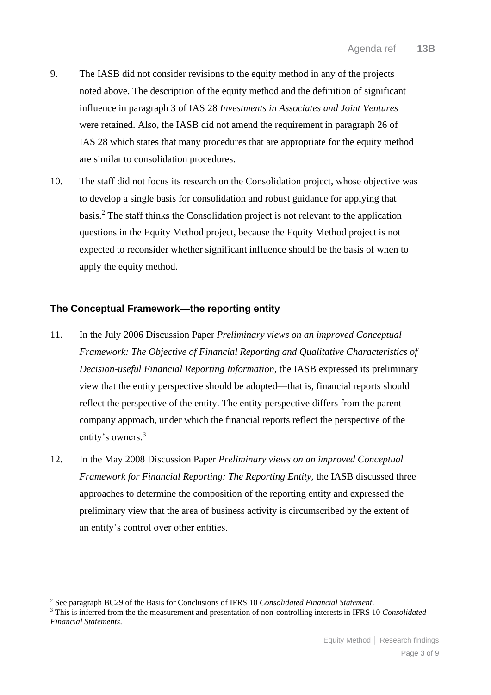- 9. The IASB did not consider revisions to the equity method in any of the projects noted above. The description of the equity method and the definition of significant influence in paragraph 3 of IAS 28 *Investments in Associates and Joint Ventures* were retained. Also, the IASB did not amend the requirement in paragraph 26 of IAS 28 which states that many procedures that are appropriate for the equity method are similar to consolidation procedures.
- <span id="page-2-0"></span>10. The staff did not focus its research on the Consolidation project, whose objective was to develop a single basis for consolidation and robust guidance for applying that basis.<sup>2</sup> The staff thinks the Consolidation project is not relevant to the application questions in the Equity Method project, because the Equity Method project is not expected to reconsider whether significant influence should be the basis of when to apply the equity method.

# **The Conceptual Framework—the reporting entity**

- <span id="page-2-1"></span>11. In the July 2006 Discussion Paper *Preliminary views on an improved Conceptual Framework: The Objective of Financial Reporting and Qualitative Characteristics of Decision-useful Financial Reporting Information,* the IASB expressed its preliminary view that the entity perspective should be adopted—that is, financial reports should reflect the perspective of the entity. The entity perspective differs from the parent company approach, under which the financial reports reflect the perspective of the entity's owners.<sup>3</sup>
- 12. In the May 2008 Discussion Paper *Preliminary views on an improved Conceptual Framework for Financial Reporting: The Reporting Entity,* the IASB discussed three approaches to determine the composition of the reporting entity and expressed the preliminary view that the area of business activity is circumscribed by the extent of an entity's control over other entities.

<sup>2</sup> See paragraph BC29 of the Basis for Conclusions of IFRS 10 *Consolidated Financial Statement*.

<sup>3</sup> This is inferred from the the measurement and presentation of non-controlling interests in IFRS 10 *Consolidated Financial Statements*.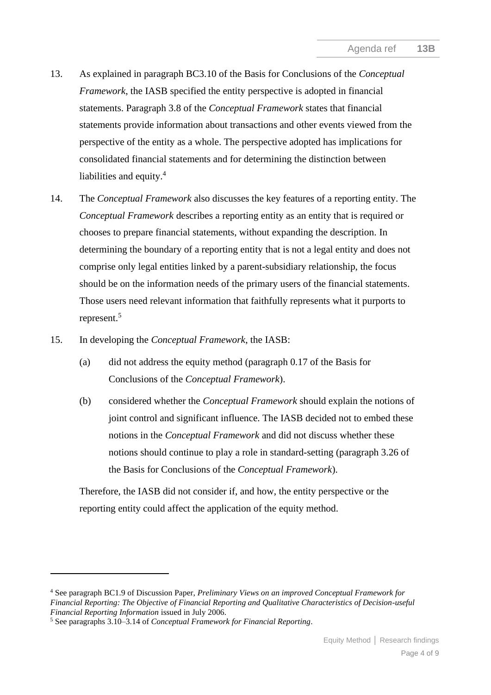- 13. As explained in paragraph BC3.10 of the Basis for Conclusions of the *Conceptual Framework*, the IASB specified the entity perspective is adopted in financial statements. Paragraph 3.8 of the *Conceptual Framework* states that financial statements provide information about transactions and other events viewed from the perspective of the entity as a whole. The perspective adopted has implications for consolidated financial statements and for determining the distinction between liabilities and equity.<sup>4</sup>
- 14. The *Conceptual Framework* also discusses the key features of a reporting entity. The *Conceptual Framework* describes a reporting entity as an entity that is required or chooses to prepare financial statements, without expanding the description. In determining the boundary of a reporting entity that is not a legal entity and does not comprise only legal entities linked by a parent-subsidiary relationship, the focus should be on the information needs of the primary users of the financial statements. Those users need relevant information that faithfully represents what it purports to represent.<sup>5</sup>
- <span id="page-3-0"></span>15. In developing the *Conceptual Framework*, the IASB:
	- (a) did not address the equity method (paragraph 0.17 of the Basis for Conclusions of the *Conceptual Framework*).
	- (b) considered whether the *Conceptual Framework* should explain the notions of joint control and significant influence. The IASB decided not to embed these notions in the *Conceptual Framework* and did not discuss whether these notions should continue to play a role in standard-setting (paragraph 3.26 of the Basis for Conclusions of the *Conceptual Framework*).

Therefore, the IASB did not consider if, and how, the entity perspective or the reporting entity could affect the application of the equity method.

<sup>4</sup> See paragraph BC1.9 of Discussion Paper, *Preliminary Views on an improved Conceptual Framework for Financial Reporting: The Objective of Financial Reporting and Qualitative Characteristics of Decision-useful Financial Reporting Information* issued in July 2006.

<sup>5</sup> See paragraphs 3.10–3.14 of *Conceptual Framework for Financial Reporting*.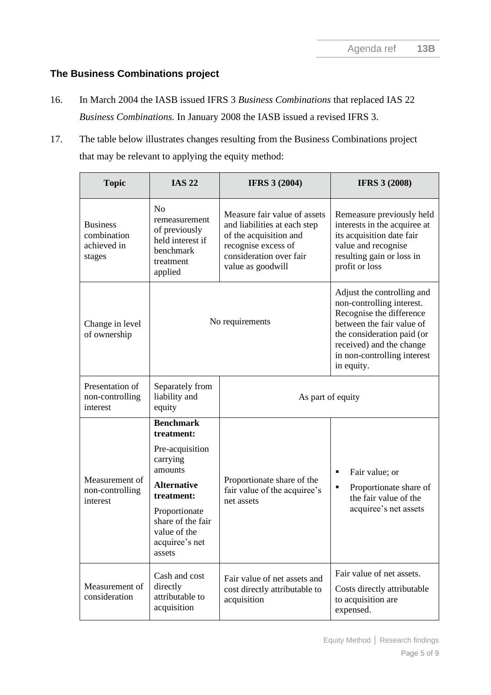# **The Business Combinations project**

- <span id="page-4-0"></span>16. In March 2004 the IASB issued IFRS 3 *Business Combinations* that replaced IAS 22 *Business Combinations.* In January 2008 the IASB issued a revised IFRS 3.
- 17. The table below illustrates changes resulting from the Business Combinations project that may be relevant to applying the equity method:

| <b>Topic</b>                                            | <b>IAS 22</b>                                                                                                                                                                                  | <b>IFRS 3 (2004)</b>                                                                                                                                          | <b>IFRS 3 (2008)</b>                                                                                                                                                                                                    |
|---------------------------------------------------------|------------------------------------------------------------------------------------------------------------------------------------------------------------------------------------------------|---------------------------------------------------------------------------------------------------------------------------------------------------------------|-------------------------------------------------------------------------------------------------------------------------------------------------------------------------------------------------------------------------|
| <b>Business</b><br>combination<br>achieved in<br>stages | N <sub>0</sub><br>remeasurement<br>of previously<br>held interest if<br>benchmark<br>treatment<br>applied                                                                                      | Measure fair value of assets<br>and liabilities at each step<br>of the acquisition and<br>recognise excess of<br>consideration over fair<br>value as goodwill | Remeasure previously held<br>interests in the acquiree at<br>its acquisition date fair<br>value and recognise<br>resulting gain or loss in<br>profit or loss                                                            |
| Change in level<br>of ownership                         | No requirements                                                                                                                                                                                |                                                                                                                                                               | Adjust the controlling and<br>non-controlling interest.<br>Recognise the difference<br>between the fair value of<br>the consideration paid (or<br>received) and the change<br>in non-controlling interest<br>in equity. |
| Presentation of<br>non-controlling<br>interest          | Separately from<br>liability and<br>equity                                                                                                                                                     | As part of equity                                                                                                                                             |                                                                                                                                                                                                                         |
| Measurement of<br>non-controlling<br>interest           | <b>Benchmark</b><br>treatment:<br>Pre-acquisition<br>carrying<br>amounts<br><b>Alternative</b><br>treatment:<br>Proportionate<br>share of the fair<br>value of the<br>acquiree's net<br>assets | Proportionate share of the<br>fair value of the acquiree's<br>net assets                                                                                      | Fair value; or<br>$\mathcal{L}_{\mathcal{A}}$<br>Proportionate share of<br>٠<br>the fair value of the<br>acquiree's net assets                                                                                          |
| Measurement of<br>consideration                         | Cash and cost<br>directly<br>attributable to<br>acquisition                                                                                                                                    | Fair value of net assets and<br>cost directly attributable to<br>acquisition                                                                                  | Fair value of net assets.<br>Costs directly attributable<br>to acquisition are<br>expensed.                                                                                                                             |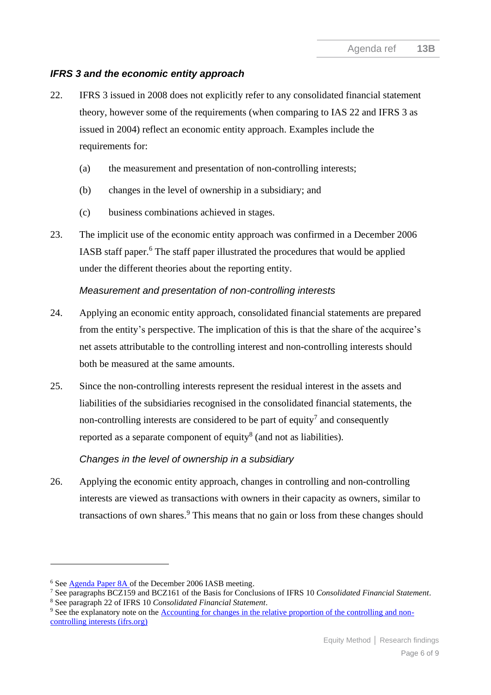# *IFRS 3 and the economic entity approach*

- 22. IFRS 3 issued in 2008 does not explicitly refer to any consolidated financial statement theory, however some of the requirements (when comparing to IAS 22 and IFRS 3 as issued in 2004) reflect an economic entity approach. Examples include the requirements for:
	- (a) the measurement and presentation of non-controlling interests;
	- (b) changes in the level of ownership in a subsidiary; and
	- (c) business combinations achieved in stages.
- 23. The implicit use of the economic entity approach was confirmed in a December 2006 IASB staff paper.<sup>6</sup> The staff paper illustrated the procedures that would be applied under the different theories about the reporting entity.

### *Measurement and presentation of non-controlling interests*

- 24. Applying an economic entity approach, consolidated financial statements are prepared from the entity's perspective. The implication of this is that the share of the acquiree's net assets attributable to the controlling interest and non-controlling interests should both be measured at the same amounts.
- 25. Since the non-controlling interests represent the residual interest in the assets and liabilities of the subsidiaries recognised in the consolidated financial statements, the non-controlling interests are considered to be part of equity<sup>7</sup> and consequently reported as a separate component of equity<sup>8</sup> (and not as liabilities).

# *Changes in the level of ownership in a subsidiary*

26. Applying the economic entity approach, changes in controlling and non-controlling interests are viewed as transactions with owners in their capacity as owners, similar to transactions of own shares.<sup>9</sup> This means that no gain or loss from these changes should

<sup>6</sup> Se[e Agenda Paper 8A](https://www.ifrs.org/content/dam/ifrs/meetings/2006/december/iasb/conceptual-framework/ap8a-parent-company-approach.pdf) of the December 2006 IASB meeting.

<sup>7</sup> See paragraphs BCZ159 and BCZ161 of the Basis for Conclusions of IFRS 10 *Consolidated Financial Statement*.

<sup>8</sup> See paragraph 22 of IFRS 10 *Consolidated Financial Statement*.

<sup>9</sup> See the explanatory note on the [Accounting for changes in the relative proportion of the controlling and non](https://www.ifrs.org/content/dam/ifrs/project/business-combinations-2008/accounting-for-changes-relative-proportion-nci-march-2008.pdf)[controlling interests \(ifrs.org\)](https://www.ifrs.org/content/dam/ifrs/project/business-combinations-2008/accounting-for-changes-relative-proportion-nci-march-2008.pdf)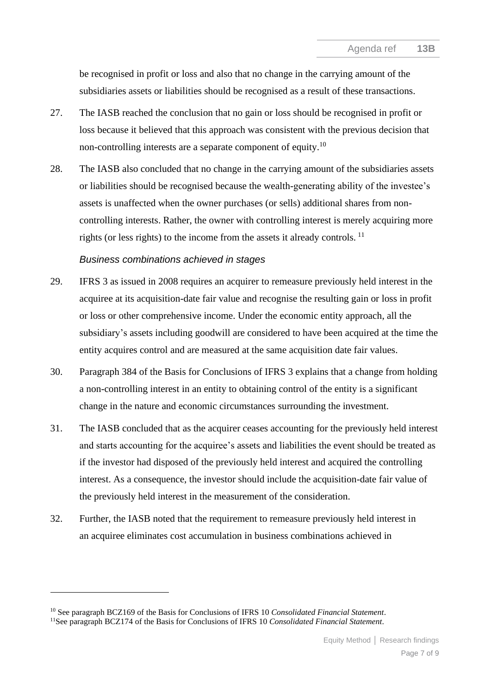be recognised in profit or loss and also that no change in the carrying amount of the subsidiaries assets or liabilities should be recognised as a result of these transactions.

- 27. The IASB reached the conclusion that no gain or loss should be recognised in profit or loss because it believed that this approach was consistent with the previous decision that non-controlling interests are a separate component of equity.<sup>10</sup>
- 28. The IASB also concluded that no change in the carrying amount of the subsidiaries assets or liabilities should be recognised because the wealth-generating ability of the investee's assets is unaffected when the owner purchases (or sells) additional shares from noncontrolling interests. Rather, the owner with controlling interest is merely acquiring more rights (or less rights) to the income from the assets it already controls.  $^{11}$

#### *Business combinations achieved in stages*

- 29. IFRS 3 as issued in 2008 requires an acquirer to remeasure previously held interest in the acquiree at its acquisition-date fair value and recognise the resulting gain or loss in profit or loss or other comprehensive income. Under the economic entity approach, all the subsidiary's assets including goodwill are considered to have been acquired at the time the entity acquires control and are measured at the same acquisition date fair values.
- 30. Paragraph 384 of the Basis for Conclusions of IFRS 3 explains that a change from holding a non-controlling interest in an entity to obtaining control of the entity is a significant change in the nature and economic circumstances surrounding the investment.
- 31. The IASB concluded that as the acquirer ceases accounting for the previously held interest and starts accounting for the acquiree's assets and liabilities the event should be treated as if the investor had disposed of the previously held interest and acquired the controlling interest. As a consequence, the investor should include the acquisition-date fair value of the previously held interest in the measurement of the consideration.
- 32. Further, the IASB noted that the requirement to remeasure previously held interest in an acquiree eliminates cost accumulation in business combinations achieved in

<sup>10</sup> See paragraph BCZ169 of the Basis for Conclusions of IFRS 10 *Consolidated Financial Statement*.

<sup>11</sup>See paragraph BCZ174 of the Basis for Conclusions of IFRS 10 *Consolidated Financial Statement*.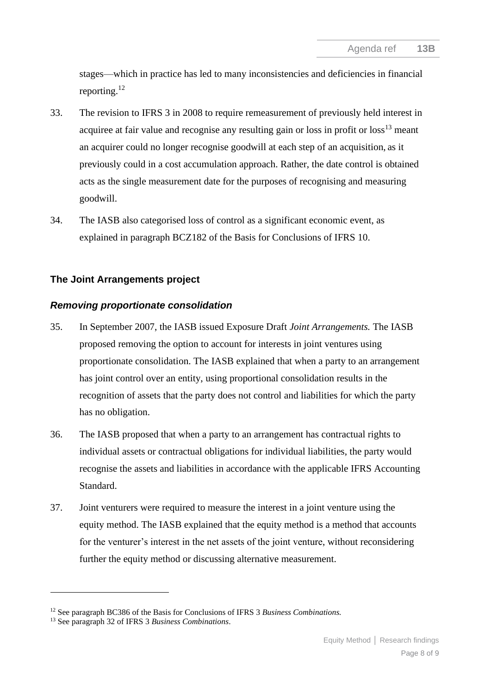stages—which in practice has led to many inconsistencies and deficiencies in financial reporting.<sup>12</sup>

- 33. The revision to IFRS 3 in 2008 to require remeasurement of previously held interest in acquiree at fair value and recognise any resulting gain or loss in profit or  $loss<sup>13</sup>$  meant an acquirer could no longer recognise goodwill at each step of an acquisition, as it previously could in a cost accumulation approach. Rather, the date control is obtained acts as the single measurement date for the purposes of recognising and measuring goodwill.
- <span id="page-7-0"></span>34. The IASB also categorised loss of control as a significant economic event, as explained in paragraph BCZ182 of the Basis for Conclusions of IFRS 10.

# **The Joint Arrangements project**

### *Removing proportionate consolidation*

- <span id="page-7-1"></span>35. In September 2007, the IASB issued Exposure Draft *Joint Arrangements.* The IASB proposed removing the option to account for interests in joint ventures using proportionate consolidation. The IASB explained that when a party to an arrangement has joint control over an entity, using proportional consolidation results in the recognition of assets that the party does not control and liabilities for which the party has no obligation.
- 36. The IASB proposed that when a party to an arrangement has contractual rights to individual assets or contractual obligations for individual liabilities, the party would recognise the assets and liabilities in accordance with the applicable IFRS Accounting Standard.
- 37. Joint venturers were required to measure the interest in a joint venture using the equity method. The IASB explained that the equity method is a method that accounts for the venturer's interest in the net assets of the joint venture, without reconsidering further the equity method or discussing alternative measurement.

<sup>12</sup> See paragraph BC386 of the Basis for Conclusions of IFRS 3 *Business Combinations.*

<sup>13</sup> See paragraph 32 of IFRS 3 *Business Combinations*.